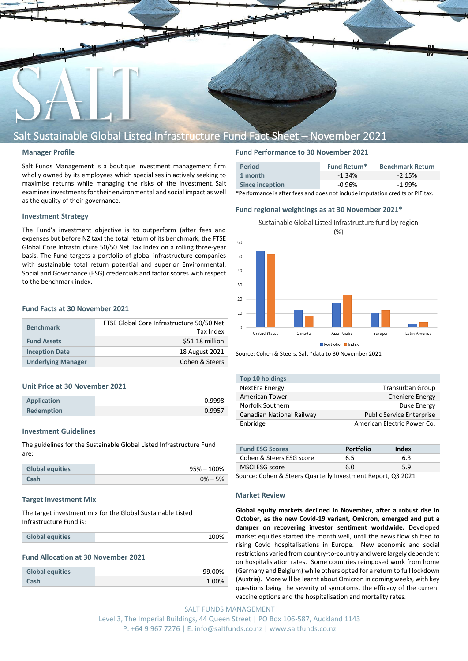

# Salt Sustainable Global Listed Infrastructure Fund Fact Sheet – November 2021

# **Manager Profile**

Salt Funds Management is a boutique investment management firm wholly owned by its employees which specialises in actively seeking to maximise returns while managing the risks of the investment. Salt examines investments for their environmental and social impact as well as the quality of their governance.

# **Investment Strategy**

The Fund's investment objective is to outperform (after fees and expenses but before NZ tax) the total return of its benchmark, the FTSE Global Core Infrastructure 50/50 Net Tax Index on a rolling three-year basis. The Fund targets a portfolio of global infrastructure companies with sustainable total return potential and superior Environmental, Social and Governance (ESG) credentials and factor scores with respect to the benchmark index.

# **Fund Facts at 30 November 2021**

| <b>Benchmark</b>          | FTSE Global Core Infrastructure 50/50 Net<br>Tax Index |
|---------------------------|--------------------------------------------------------|
| <b>Fund Assets</b>        | \$51.18 million                                        |
| <b>Inception Date</b>     | 18 August 2021                                         |
| <b>Underlying Manager</b> | Cohen & Steers                                         |

#### **Unit Price at 30 November 2021**

| <b>Application</b> | 0.9998 |
|--------------------|--------|
| <b>Redemption</b>  | 0.9957 |

#### **Investment Guidelines**

The guidelines for the Sustainable Global Listed Infrastructure Fund are:

| <b>Global equities</b> | $95\% - 100\%$ |
|------------------------|----------------|
| Cash                   | $0\% - 5\%$    |

#### **Target investment Mix**

The target investment mix for the Global Sustainable Listed Infrastructure Fund is:

| <b>Global equities</b> | 100% |
|------------------------|------|
|                        |      |

#### **Fund Allocation at 30 November 2021**

| <b>Global equities</b> | 99.00% |
|------------------------|--------|
| Cash                   | 1.00%  |

# **Fund Performance to 30 November 2021**

| <b>Period</b>   | <b>Fund Return*</b> | <b>Benchmark Return</b> |
|-----------------|---------------------|-------------------------|
| 1 month         | $-1.34%$            | $-2.15%$                |
| Since inception | $-0.96\%$           | $-1.99%$                |
|                 |                     |                         |

\*Performance is after fees and does not include imputation credits or PIE tax.

# **Fund regional weightings as at 30 November 2021\***

Sustainable Global Listed Infrastructure fund by region  $(% )$ 



Source: Cohen & Steers, Salt \*data to 30 November 2021

| Top 10 holdings           |                                  |
|---------------------------|----------------------------------|
| NextEra Energy            | <b>Transurban Group</b>          |
| <b>American Tower</b>     | <b>Cheniere Energy</b>           |
| Norfolk Southern          | Duke Energy                      |
| Canadian National Railway | <b>Public Service Enterprise</b> |
| Enbridge                  | American Electric Power Co.      |

| <b>Fund ESG Scores</b>   | <b>Portfolio</b> | Index |  |
|--------------------------|------------------|-------|--|
| Cohen & Steers ESG score | 6.5              | 6.3   |  |
| MSCI ESG score           | 6 በ              | 5.9   |  |

Source: Cohen & Steers Quarterly Investment Report, Q3 2021

# **Market Review**

**Global equity markets declined in November, after a robust rise in October, as the new Covid-19 variant, Omicron, emerged and put a damper on recovering investor sentiment worldwide.** Developed market equities started the month well, until the news flow shifted to rising Covid hospitalisations in Europe. New economic and social restrictions varied from country-to-country and were largely dependent on hospitalisiation rates. Some countries reimposed work from home (Germany and Belgium) while others opted for a return to full lockdown (Austria). More will be learnt about Omicron in coming weeks, with key questions being the severity of symptoms, the efficacy of the current vaccine options and the hospitalisation and mortality rates.

SALT FUNDS MANAGEMENT Level 3, The Imperial Buildings, 44 Queen Street | PO Box 106-587, Auckland 1143 P: +64 9 967 7276 | E: info@saltfunds.co.nz | www.saltfunds.co.nz